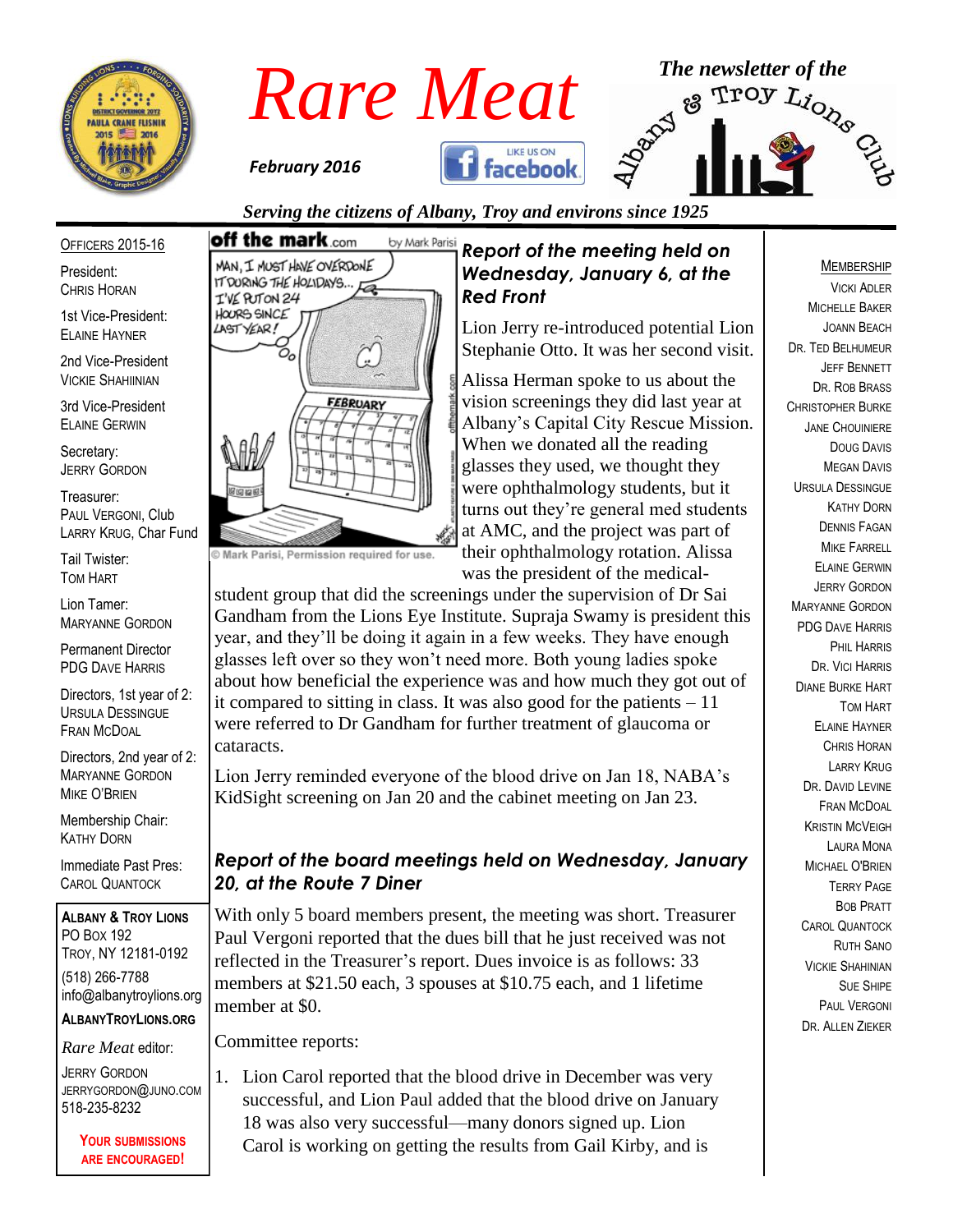



*Serving the citizens of Albany, Troy and environs since 1925*

*Red Front*

*Report of the meeting held on Wednesday, January 6, at the* 

Lion Jerry re-introduced potential Lion Stephanie Otto. It was her second visit. Alissa Herman spoke to us about the vision screenings they did last year at Albany's Capital City Rescue Mission. When we donated all the reading glasses they used, we thought they were ophthalmology students, but it turns out they're general med students at AMC, and the project was part of their ophthalmology rotation. Alissa was the president of the medical-

OFFICERS 2015-16

President: CHRIS HORAN

1st Vice-President: ELAINE HAYNER

2nd Vice-President VICKIE SHAHIINIAN

3rd Vice-President ELAINE GERWIN

Secretary: JERRY GORDON

Treasurer: PAUL VERGONI, Club LARRY KRUG, Char Fund

Tail Twister: TOM HART

Lion Tamer: MARYANNE GORDON

Permanent Director PDG DAVE HARRIS

Directors, 1st year of 2: URSULA DESSINGUE FRAN MCDOAL

Directors, 2nd year of 2: MARYANNE GORDON MIKE O'BRIEN

Membership Chair: KATHY DORN

Immediate Past Pres: CAROL QUANTOCK

**ALBANY & TROY LIONS** PO BOX 192 TROY, NY 12181-0192 (518) 266-7788 info@albanytroylions.org

**ALBANYTROYLIONS.ORG**

*Rare Meat* editor:

JERRY GORDON JERRYGORDON@JUNO.COM 518-235-8232

> **YOUR SUBMISSIONS ARE ENCOURAGED!**

# off the mark.com by Mark Parisi MAN, I MUST HAVE OVERDONE IT DURING THE HOLIDAYS. 着 I'VE PUTON 24 HOORS SINCE LASTYEAR! Oc **FEBRUARY**

C Mark Parisi, Permission required for use.

student group that did the screenings under the supervision of Dr Sai Gandham from the Lions Eye Institute. Supraja Swamy is president this year, and they'll be doing it again in a few weeks. They have enough glasses left over so they won't need more. Both young ladies spoke about how beneficial the experience was and how much they got out of it compared to sitting in class. It was also good for the patients – 11 were referred to Dr Gandham for further treatment of glaucoma or cataracts.

Lion Jerry reminded everyone of the blood drive on Jan 18, NABA's KidSight screening on Jan 20 and the cabinet meeting on Jan 23.

# *Report of the board meetings held on Wednesday, January 20, at the Route 7 Diner*

With only 5 board members present, the meeting was short. Treasurer Paul Vergoni reported that the dues bill that he just received was not reflected in the Treasurer's report. Dues invoice is as follows: 33 members at \$21.50 each, 3 spouses at \$10.75 each, and 1 lifetime member at \$0.

Committee reports:

1. Lion Carol reported that the blood drive in December was very successful, and Lion Paul added that the blood drive on January 18 was also very successful—many donors signed up. Lion Carol is working on getting the results from Gail Kirby, and is

#### MEMBERSHIP

VICKI ADLER MICHELLE BAKER JOANN BEACH DR. TED BELHUMEUR JEFF BENNETT DR. ROB BRASS CHRISTOPHER BURKE JANE CHOUINIERE DOUG DAVIS MEGAN DAVIS URSULA DESSINGUE KATHY DORN DENNIS FAGAN MIKE FARRELL ELAINE GERWIN JERRY GORDON MARYANNE GORDON PDG DAVE HARRIS PHIL HARRIS DR. VICI HARRIS DIANE BURKE HART TOM HART ELAINE HAYNER CHRIS HORAN LARRY KRUG DR. DAVID LEVINE FRAN MCDOAL KRISTIN MCVEIGH LAURA MONA MICHAEL O'BRIEN TERRY PAGE BOB PRATT CAROL QUANTOCK RUTH SANO VICKIE SHAHINIAN SUE SHIPE PAUL VERGONI DR. ALLEN ZIEKER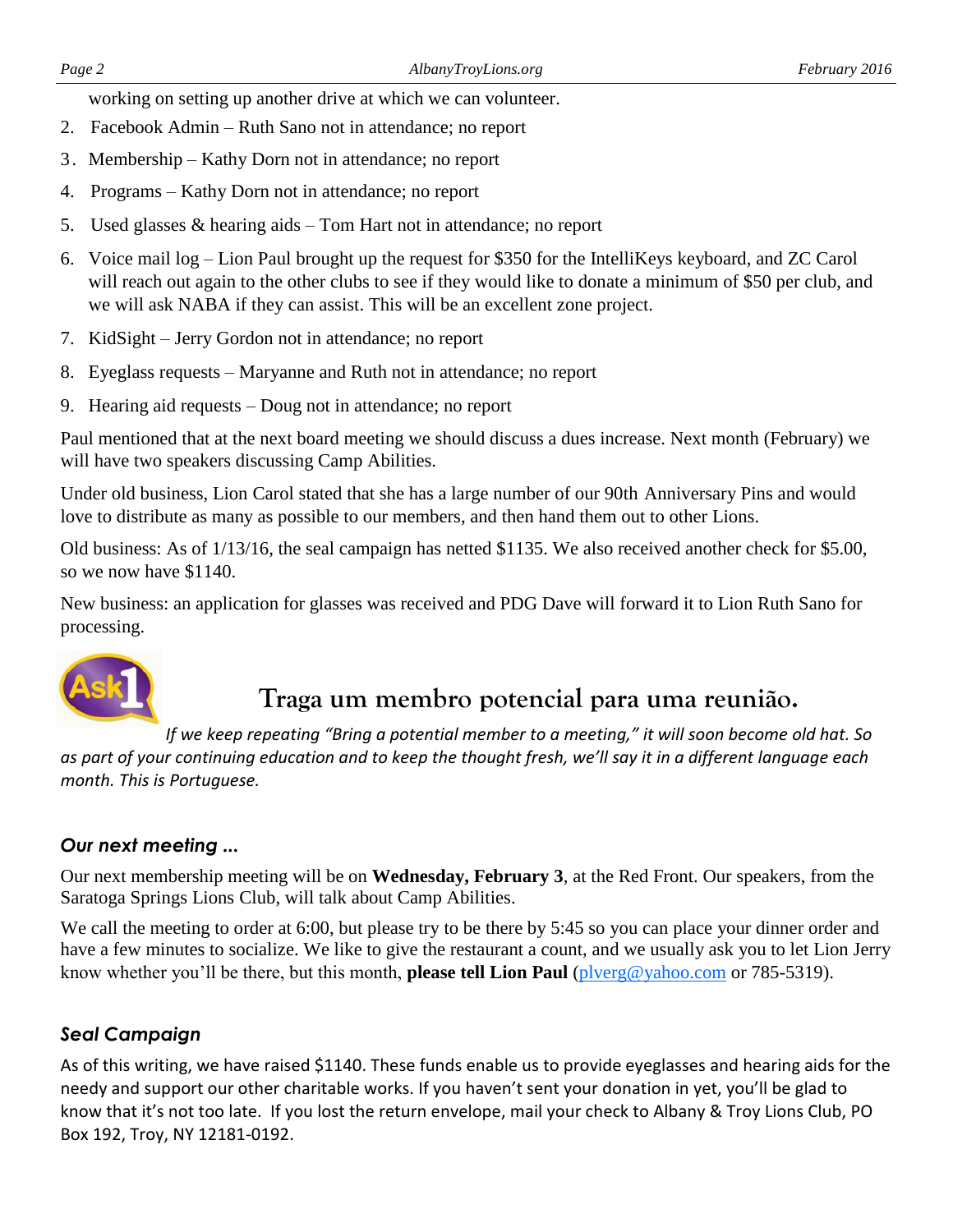working on setting up another drive at which we can volunteer.

- 2. Facebook Admin Ruth Sano not in attendance; no report
- 3. Membership Kathy Dorn not in attendance; no report
- 4. Programs Kathy Dorn not in attendance; no report
- 5. Used glasses & hearing aids Tom Hart not in attendance; no report
- 6. Voice mail log Lion Paul brought up the request for \$350 for the IntelliKeys keyboard, and ZC Carol will reach out again to the other clubs to see if they would like to donate a minimum of \$50 per club, and we will ask NABA if they can assist. This will be an excellent zone project.
- 7. KidSight Jerry Gordon not in attendance; no report
- 8. Eyeglass requests Maryanne and Ruth not in attendance; no report
- 9. Hearing aid requests Doug not in attendance; no report

Paul mentioned that at the next board meeting we should discuss a dues increase. Next month (February) we will have two speakers discussing Camp Abilities.

Under old business, Lion Carol stated that she has a large number of our 90th Anniversary Pins and would love to distribute as many as possible to our members, and then hand them out to other Lions.

Old business: As of 1/13/16, the seal campaign has netted \$1135. We also received another check for \$5.00, so we now have \$1140.

New business: an application for glasses was received and PDG Dave will forward it to Lion Ruth Sano for processing.



# **Traga um membro potencial para uma reunião.**

*If we keep repeating "Bring a potential member to a meeting," it will soon become old hat. So as part of your continuing education and to keep the thought fresh, we'll say it in a different language each month. This is Portuguese.* 

#### *Our next meeting ...*

Our next membership meeting will be on **Wednesday, February 3**, at the Red Front. Our speakers, from the Saratoga Springs Lions Club, will talk about Camp Abilities.

We call the meeting to order at 6:00, but please try to be there by 5:45 so you can place your dinner order and have a few minutes to socialize. We like to give the restaurant a count, and we usually ask you to let Lion Jerry know whether you'll be there, but this month, **please tell Lion Paul** [\(plverg@yahoo.com](mailto:plverg@yahoo.com) or 785-5319).

#### *Seal Campaign*

As of this writing, we have raised \$1140. These funds enable us to provide eyeglasses and hearing aids for the needy and support our other charitable works. If you haven't sent your donation in yet, you'll be glad to know that it's not too late. If you lost the return envelope, mail your check to Albany & Troy Lions Club, PO Box 192, Troy, NY 12181-0192.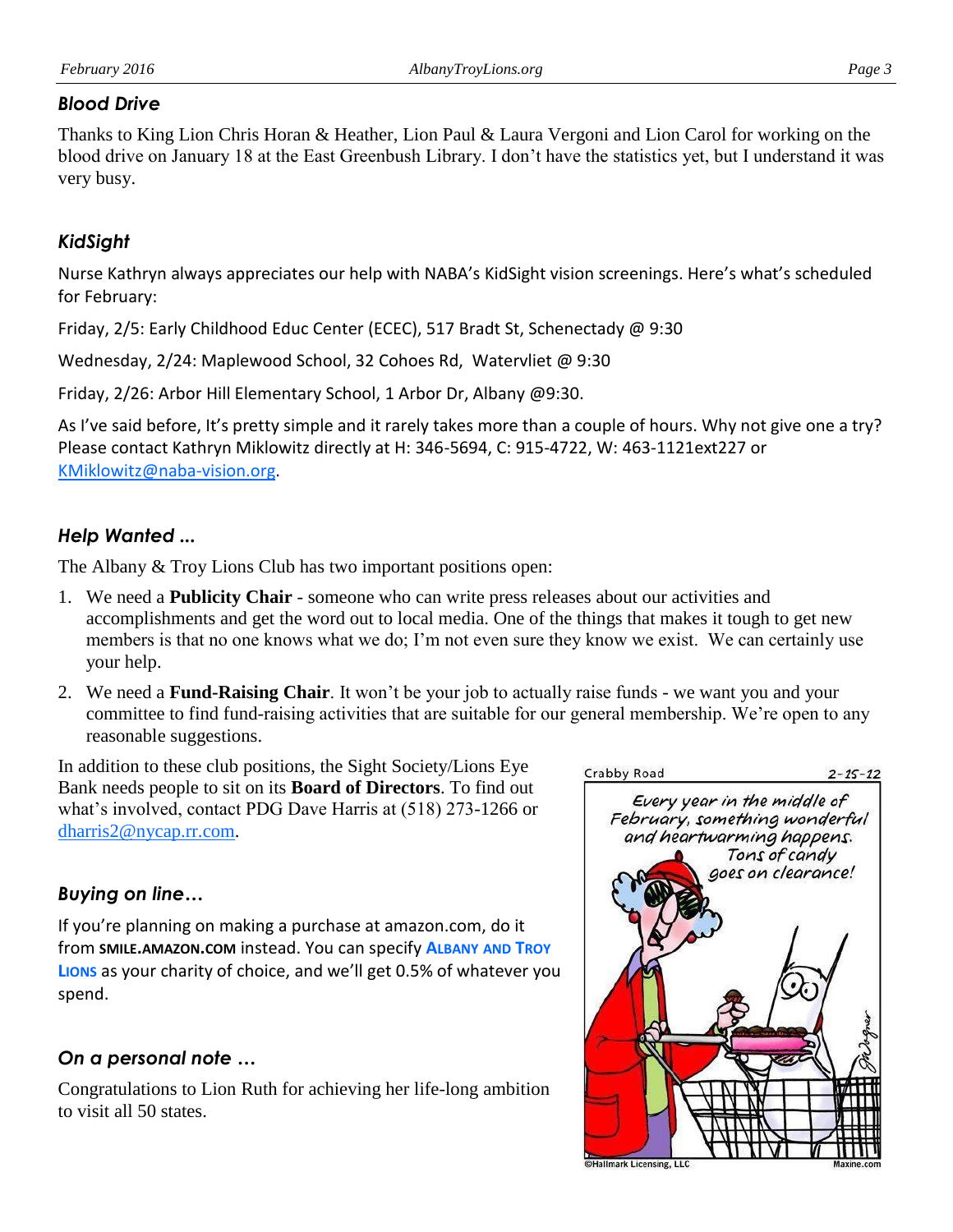#### *Blood Drive*

Thanks to King Lion Chris Horan & Heather, Lion Paul & Laura Vergoni and Lion Carol for working on the blood drive on January 18 at the East Greenbush Library. I don't have the statistics yet, but I understand it was very busy.

#### *KidSight*

Nurse Kathryn always appreciates our help with NABA's KidSight vision screenings. Here's what's scheduled for February:

Friday, 2/5: Early Childhood Educ Center (ECEC), 517 Bradt St, Schenectady @ 9:30

Wednesday, 2/24: Maplewood School, 32 Cohoes Rd, Watervliet @ 9:30

Friday, 2/26: Arbor Hill Elementary School, 1 Arbor Dr, Albany @9:30.

As I've said before, It's pretty simple and it rarely takes more than a couple of hours. Why not give one a try? Please contact Kathryn Miklowitz directly at H: 346-5694, C: 915-4722, W: 463-1121ext227 or [KMiklowitz@naba-vision.org.](mailto:KMiklowitz@naba-vision.org)

#### *Help Wanted ...*

The Albany & Troy Lions Club has two important positions open:

- 1. We need a **Publicity Chair**  someone who can write press releases about our activities and accomplishments and get the word out to local media. One of the things that makes it tough to get new members is that no one knows what we do; I'm not even sure they know we exist. We can certainly use your help.
- 2. We need a **Fund-Raising Chair**. It won't be your job to actually raise funds we want you and your committee to find fund-raising activities that are suitable for our general membership. We're open to any reasonable suggestions.

In addition to these club positions, the Sight Society/Lions Eye Bank needs people to sit on its **Board of Directors**. To find out what's involved, contact PDG Dave Harris at (518) 273-1266 or [dharris2@nycap.rr.com.](mailto:dharris2@nycap.rr.com)

# *Buying on line…*

If you're planning on making a purchase at amazon.com, do it from **SMILE.AMAZON.COM** instead. You can specify **ALBANY AND TROY LIONS** as your charity of choice, and we'll get 0.5% of whatever you spend.

# *On a personal note …*

Congratulations to Lion Ruth for achieving her life-long ambition to visit all 50 states.